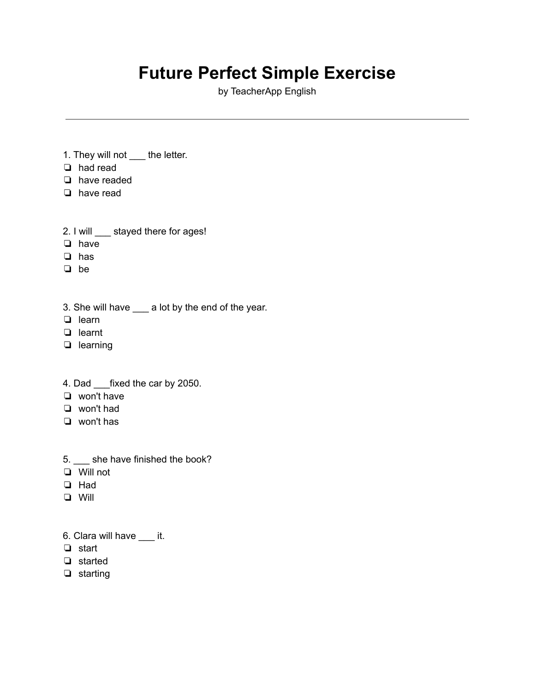## **Future Perfect Simple Exercise**

by TeacherApp English

- 1. They will not \_\_\_\_ the letter.
- ❏ had read
- ❏ have readed
- ❏ have read
- 2. I will stayed there for ages!
- ❏ have
- ❏ has
- ❏ be
- 3. She will have \_\_\_ a lot by the end of the year.
- ❏ learn
- ❏ learnt
- ❏ learning
- 4. Dad \_\_\_fixed the car by 2050.
- ❏ won't have
- ❏ won't had
- ❏ won't has
- 5. \_\_\_ she have finished the book?
- ❏ Will not
- ❏ Had
- ❏ Will
- 6. Clara will have \_\_\_ it.
- ❏ start
- ❏ started
- ❏ starting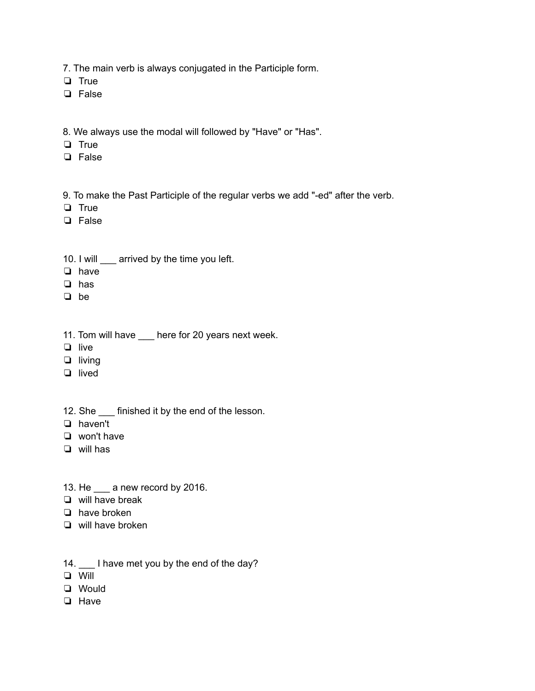7. The main verb is always conjugated in the Participle form.

❏ True

- ❏ False
- 8. We always use the modal will followed by "Have" or "Has".
- ❏ True
- ❏ False
- 9. To make the Past Participle of the regular verbs we add "-ed" after the verb.
- ❏ True
- ❏ False
- 10. I will \_\_\_ arrived by the time you left.
- ❏ have
- ❏ has
- ❏ be
- 11. Tom will have \_\_\_ here for 20 years next week.
- ❏ live
- ❏ living
- ❏ lived
- 12. She finished it by the end of the lesson.
- ❏ haven't
- ❏ won't have
- ❏ will has
- 13. He \_\_\_ a new record by 2016.
- ❏ will have break
- ❏ have broken
- ❏ will have broken
- 14. \_\_\_ I have met you by the end of the day?
- ❏ Will
- ❏ Would
- ❏ Have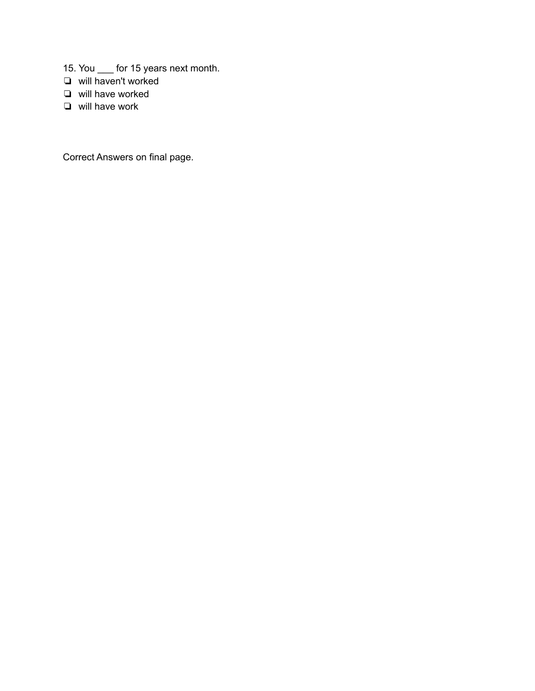- 15. You \_\_\_ for 15 years next month.
- ❏ will haven't worked
- ❏ will have worked
- ❏ will have work

Correct Answers on final page.